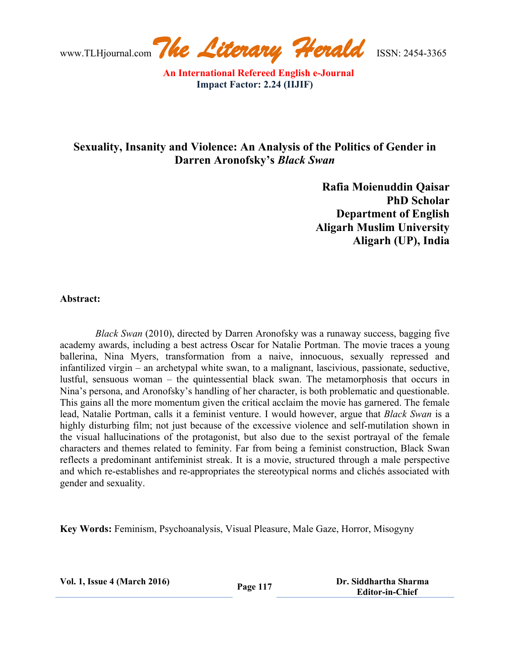www.TLHjournal.com*The Literary Herald*ISSN: 2454-3365

## **Sexuality, Insanity and Violence: An Analysis of the Politics of Gender in Darren Aronofsky's** *Black Swan*

**Rafia Moienuddin Qaisar PhD Scholar Department of English Aligarh Muslim University Aligarh (UP), India**

## **Abstract:**

*Black Swan* (2010), directed by Darren Aronofsky was a runaway success, bagging five academy awards, including a best actress Oscar for Natalie Portman. The movie traces a young ballerina, Nina Myers, transformation from a naive, innocuous, sexually repressed and infantilized virgin – an archetypal white swan, to a malignant, lascivious, passionate, seductive, lustful, sensuous woman – the quintessential black swan. The metamorphosis that occurs in Nina's persona, and Aronofsky's handling of her character, is both problematic and questionable. This gains all the more momentum given the critical acclaim the movie has garnered. The female lead, Natalie Portman, calls it a feminist venture. I would however, argue that *Black Swan* is a highly disturbing film; not just because of the excessive violence and self-mutilation shown in the visual hallucinations of the protagonist, but also due to the sexist portrayal of the female characters and themes related to feminity. Far from being a feminist construction, Black Swan reflects a predominant antifeminist streak. It is a movie, structured through a male perspective and which re-establishes and re-appropriates the stereotypical norms and clichés associated with gender and sexuality.

**Key Words:** Feminism, Psychoanalysis, Visual Pleasure, Male Gaze, Horror, Misogyny

| <b>Vol. 1, Issue 4 (March 2016)</b> |  |
|-------------------------------------|--|
|-------------------------------------|--|

**117 Dr. Siddhartha Sharma Page** 117  **Editor-in-Chief**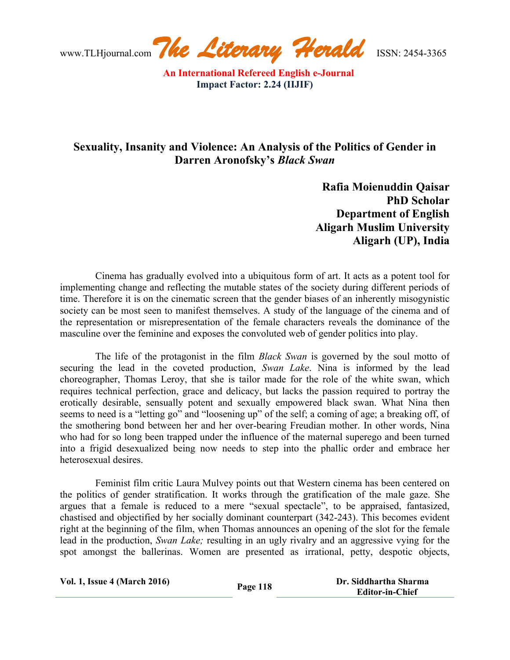## **Sexuality, Insanity and Violence: An Analysis of the Politics of Gender in Darren Aronofsky's** *Black Swan*

**Rafia Moienuddin Qaisar PhD Scholar Department of English Aligarh Muslim University Aligarh (UP), India**

Cinema has gradually evolved into a ubiquitous form of art. It acts as a potent tool for implementing change and reflecting the mutable states of the society during different periods of time. Therefore it is on the cinematic screen that the gender biases of an inherently misogynistic society can be most seen to manifest themselves. A study of the language of the cinema and of the representation or misrepresentation of the female characters reveals the dominance of the masculine over the feminine and exposes the convoluted web of gender politics into play.

The life of the protagonist in the film *Black Swan* is governed by the soul motto of securing the lead in the coveted production, *Swan Lake*. Nina is informed by the lead choreographer, Thomas Leroy, that she is tailor made for the role of the white swan, which requires technical perfection, grace and delicacy, but lacks the passion required to portray the erotically desirable, sensually potent and sexually empowered black swan. What Nina then seems to need is a "letting go" and "loosening up" of the self; a coming of age; a breaking off, of the smothering bond between her and her over-bearing Freudian mother. In other words, Nina who had for so long been trapped under the influence of the maternal superego and been turned into a frigid desexualized being now needs to step into the phallic order and embrace her heterosexual desires.

Feminist film critic Laura Mulvey points out that Western cinema has been centered on the politics of gender stratification. It works through the gratification of the male gaze. She argues that a female is reduced to a mere "sexual spectacle", to be appraised, fantasized, chastised and objectified by her socially dominant counterpart (342-243). This becomes evident right at the beginning of the film, when Thomas announces an opening of the slot for the female lead in the production, *Swan Lake;* resulting in an ugly rivalry and an aggressive vying for the spot amongst the ballerinas. Women are presented as irrational, petty, despotic objects,

| <b>Vol. 1, Issue 4 (March 2016)</b> | Page 118 | Dr. Siddhartha Sharma  |
|-------------------------------------|----------|------------------------|
|                                     |          | <b>Editor-in-Chief</b> |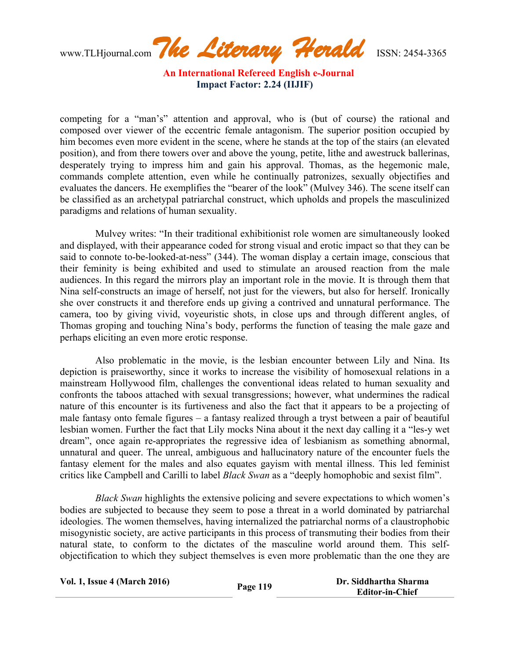www.TLHjournal.com*The Literary Herald*ISSN: 2454-3365

competing for a "man's" attention and approval, who is (but of course) the rational and composed over viewer of the eccentric female antagonism. The superior position occupied by him becomes even more evident in the scene, where he stands at the top of the stairs (an elevated position), and from there towers over and above the young, petite, lithe and awestruck ballerinas, desperately trying to impress him and gain his approval. Thomas, as the hegemonic male, commands complete attention, even while he continually patronizes, sexually objectifies and evaluates the dancers. He exemplifies the "bearer of the look" (Mulvey 346). The scene itself can be classified as an archetypal patriarchal construct, which upholds and propels the masculinized paradigms and relations of human sexuality.

Mulvey writes: "In their traditional exhibitionist role women are simultaneously looked and displayed, with their appearance coded for strong visual and erotic impact so that they can be said to connote to-be-looked-at-ness" (344). The woman display a certain image, conscious that their feminity is being exhibited and used to stimulate an aroused reaction from the male audiences. In this regard the mirrors play an important role in the movie. It is through them that Nina self-constructs an image of herself, not just for the viewers, but also for herself. Ironically she over constructs it and therefore ends up giving a contrived and unnatural performance. The camera, too by giving vivid, voyeuristic shots, in close ups and through different angles, of Thomas groping and touching Nina's body, performs the function of teasing the male gaze and perhaps eliciting an even more erotic response.

Also problematic in the movie, is the lesbian encounter between Lily and Nina. Its depiction is praiseworthy, since it works to increase the visibility of homosexual relations in a mainstream Hollywood film, challenges the conventional ideas related to human sexuality and confronts the taboos attached with sexual transgressions; however, what undermines the radical nature of this encounter is its furtiveness and also the fact that it appears to be a projecting of male fantasy onto female figures – a fantasy realized through a tryst between a pair of beautiful lesbian women. Further the fact that Lily mocks Nina about it the next day calling it a "les-y wet dream", once again re-appropriates the regressive idea of lesbianism as something abnormal, unnatural and queer. The unreal, ambiguous and hallucinatory nature of the encounter fuels the fantasy element for the males and also equates gayism with mental illness. This led feminist critics like Campbell and Carilli to label *Black Swan* as a "deeply homophobic and sexist film".

*Black Swan* highlights the extensive policing and severe expectations to which women's bodies are subjected to because they seem to pose a threat in a world dominated by patriarchal ideologies. The women themselves, having internalized the patriarchal norms of a claustrophobic misogynistic society, are active participants in this process of transmuting their bodies from their natural state, to conform to the dictates of the masculine world around them. This selfobjectification to which they subject themselves is even more problematic than the one they are

| <b>Vol. 1, Issue 4 (March 2016)</b> | Page 119 | Dr. Siddhartha Sharma  |
|-------------------------------------|----------|------------------------|
|                                     |          | <b>Editor-in-Chief</b> |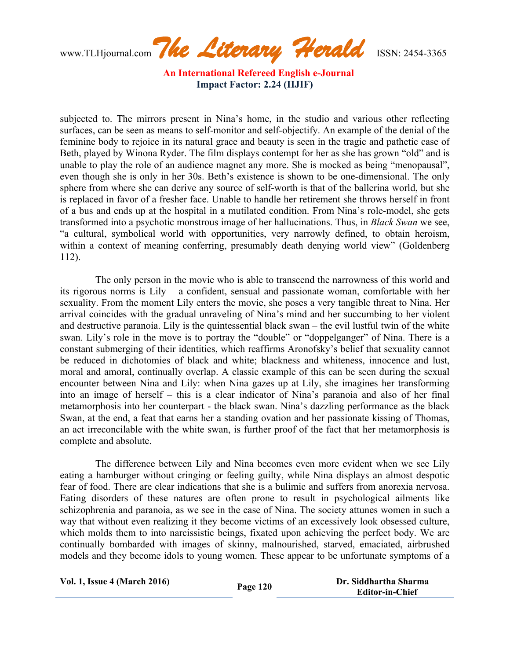www.TLHjournal.com*The Literary Herald*ISSN: 2454-3365

subjected to. The mirrors present in Nina's home, in the studio and various other reflecting surfaces, can be seen as means to self-monitor and self-objectify. An example of the denial of the feminine body to rejoice in its natural grace and beauty is seen in the tragic and pathetic case of Beth, played by Winona Ryder. The film displays contempt for her as she has grown "old" and is unable to play the role of an audience magnet any more. She is mocked as being "menopausal", even though she is only in her 30s. Beth's existence is shown to be one-dimensional. The only sphere from where she can derive any source of self-worth is that of the ballerina world, but she is replaced in favor of a fresher face. Unable to handle her retirement she throws herself in front of a bus and ends up at the hospital in a mutilated condition. From Nina's role-model, she gets transformed into a psychotic monstrous image of her hallucinations. Thus, in *Black Swan* we see, "a cultural, symbolical world with opportunities, very narrowly defined, to obtain heroism, within a context of meaning conferring, presumably death denying world view" (Goldenberg 112).

The only person in the movie who is able to transcend the narrowness of this world and its rigorous norms is Lily – a confident, sensual and passionate woman, comfortable with her sexuality. From the moment Lily enters the movie, she poses a very tangible threat to Nina. Her arrival coincides with the gradual unraveling of Nina's mind and her succumbing to her violent and destructive paranoia. Lily is the quintessential black swan – the evil lustful twin of the white swan. Lily's role in the move is to portray the "double" or "doppelganger" of Nina. There is a constant submerging of their identities, which reaffirms Aronofsky's belief that sexuality cannot be reduced in dichotomies of black and white; blackness and whiteness, innocence and lust, moral and amoral, continually overlap. A classic example of this can be seen during the sexual encounter between Nina and Lily: when Nina gazes up at Lily, she imagines her transforming into an image of herself – this is a clear indicator of Nina's paranoia and also of her final metamorphosis into her counterpart - the black swan. Nina's dazzling performance as the black Swan, at the end, a feat that earns her a standing ovation and her passionate kissing of Thomas, an act irreconcilable with the white swan, is further proof of the fact that her metamorphosis is complete and absolute.

The difference between Lily and Nina becomes even more evident when we see Lily eating a hamburger without cringing or feeling guilty, while Nina displays an almost despotic fear of food. There are clear indications that she is a bulimic and suffers from anorexia nervosa. Eating disorders of these natures are often prone to result in psychological ailments like schizophrenia and paranoia, as we see in the case of Nina. The society attunes women in such a way that without even realizing it they become victims of an excessively look obsessed culture, which molds them to into narcissistic beings, fixated upon achieving the perfect body. We are continually bombarded with images of skinny, malnourished, starved, emaciated, airbrushed models and they become idols to young women. These appear to be unfortunate symptoms of a

| <b>Vol. 1, Issue 4 (March 2016)</b> | Page 120 | Dr. Siddhartha Sharma  |
|-------------------------------------|----------|------------------------|
|                                     |          | <b>Editor-in-Chief</b> |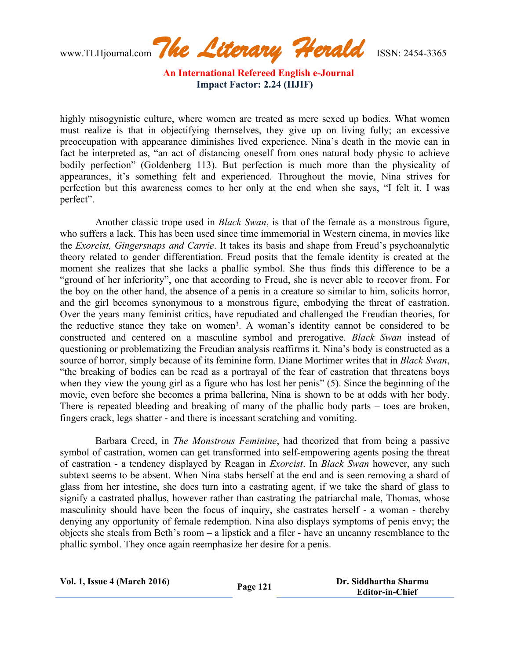www.TLHjournal.com*The Literary Herald*ISSN: 2454-3365

highly misogynistic culture, where women are treated as mere sexed up bodies. What women must realize is that in objectifying themselves, they give up on living fully; an excessive preoccupation with appearance diminishes lived experience. Nina's death in the movie can in fact be interpreted as, "an act of distancing oneself from ones natural body physic to achieve bodily perfection" (Goldenberg 113). But perfection is much more than the physicality of appearances, it's something felt and experienced. Throughout the movie, Nina strives for perfection but this awareness comes to her only at the end when she says, "I felt it. I was perfect".

Another classic trope used in *Black Swan*, is that of the female as a monstrous figure, who suffers a lack. This has been used since time immemorial in Western cinema, in movies like the *Exorcist, Gingersnaps and Carrie*. It takes its basis and shape from Freud's psychoanalytic theory related to gender differentiation. Freud posits that the female identity is created at the moment she realizes that she lacks a phallic symbol. She thus finds this difference to be a "ground of her inferiority", one that according to Freud, she is never able to recover from. For the boy on the other hand, the absence of a penis in a creature so similar to him, solicits horror, and the girl becomes synonymous to a monstrous figure, embodying the threat of castration. Over the years many feminist critics, have repudiated and challenged the Freudian theories, for the reductive stance they take on women<sup>3</sup>. A woman's identity cannot be considered to be constructed and centered on a masculine symbol and prerogative. *Black Swan* instead of questioning or problematizing the Freudian analysis reaffirms it. Nina's body is constructed as a source of horror, simply because of its feminine form. Diane Mortimer writes that in *Black Swan*, "the breaking of bodies can be read as a portrayal of the fear of castration that threatens boys when they view the young girl as a figure who has lost her penis" (5). Since the beginning of the movie, even before she becomes a prima ballerina, Nina is shown to be at odds with her body. There is repeated bleeding and breaking of many of the phallic body parts – toes are broken, fingers crack, legs shatter - and there is incessant scratching and vomiting.

Barbara Creed, in *The Monstrous Feminine*, had theorized that from being a passive symbol of castration, women can get transformed into self-empowering agents posing the threat of castration - a tendency displayed by Reagan in *Exorcist*. In *Black Swan* however, any such subtext seems to be absent. When Nina stabs herself at the end and is seen removing a shard of glass from her intestine, she does turn into a castrating agent, if we take the shard of glass to signify a castrated phallus, however rather than castrating the patriarchal male, Thomas, whose masculinity should have been the focus of inquiry, she castrates herself - a woman - thereby denying any opportunity of female redemption. Nina also displays symptoms of penis envy; the objects she steals from Beth's room – a lipstick and a filer - have an uncanny resemblance to the phallic symbol. They once again reemphasize her desire for a penis.

| <b>Vol. 1, Issue 4 (March 2016)</b> | Page 121 | Dr. Siddhartha Sharma  |
|-------------------------------------|----------|------------------------|
|                                     |          | <b>Editor-in-Chief</b> |